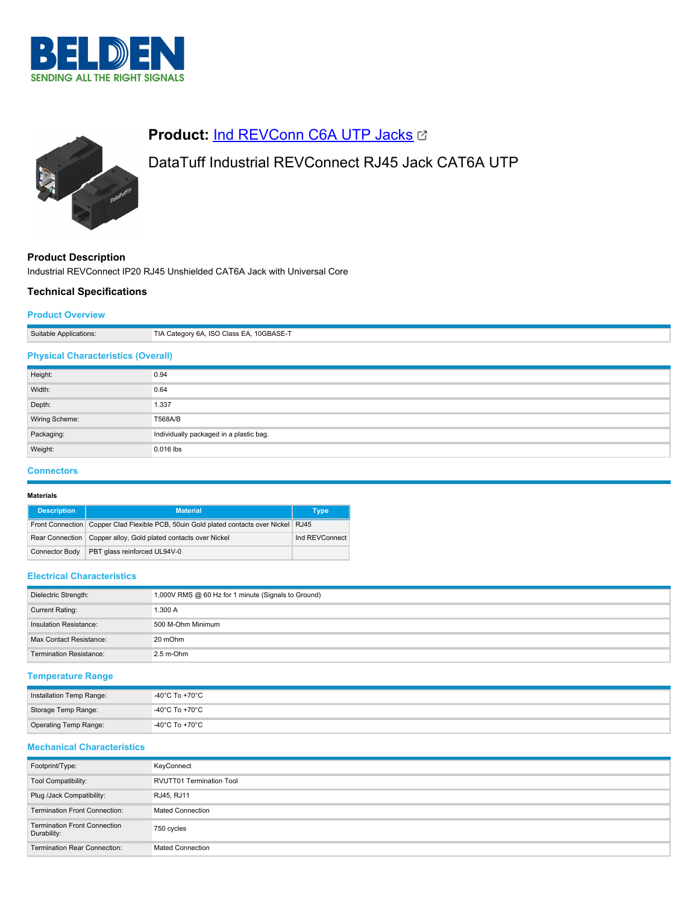



# **Product: [Ind REVConn C6A UTP Jacks](https://catalog.belden.com/index.cfm?event=pd&p=PF_IndREVConnC6AUTPJacks&tab=downloads) &**

# DataTuff Industrial REVConnect RJ45 Jack CAT6A UTP

# **Product Description**

Industrial REVConnect IP20 RJ45 Unshielded CAT6A Jack with Universal Core

# **Technical Specifications**

## **Product Overview**

| Suitable Applications:                    | TIA Category 6A, ISO Class EA, 10GBASE-T |
|-------------------------------------------|------------------------------------------|
| <b>Physical Characteristics (Overall)</b> |                                          |
| Height:                                   | 0.94                                     |
| Width:                                    | 0.64                                     |
| Depth:                                    | 1.337                                    |
| Wiring Scheme:                            | T568A/B                                  |
| Packaging:                                | Individually packaged in a plastic bag.  |
| Weight:                                   | $0.016$ lbs                              |

### **Connectors**

#### **Materials**

| <b>Description</b> | <b>Material</b>                                                                            | Type           |
|--------------------|--------------------------------------------------------------------------------------------|----------------|
|                    | Front Connection   Copper Clad Flexible PCB, 50uin Gold plated contacts over Nickel   RJ45 |                |
|                    | Rear Connection   Copper alloy, Gold plated contacts over Nickel                           | Ind REVConnect |
| Connector Body     | PBT glass reinforced UL94V-0                                                               |                |

### **Electrical Characteristics**

| Dielectric Strength:           | 1,000V RMS @ 60 Hz for 1 minute (Signals to Ground) |
|--------------------------------|-----------------------------------------------------|
| Current Rating:                | 1.300 A                                             |
| Insulation Resistance:         | 500 M-Ohm Minimum                                   |
| Max Contact Resistance:        | 20 mOhm                                             |
| <b>Termination Resistance:</b> | $2.5 m$ -Ohm                                        |

# **Temperature Range**

| Installation Temp Range: | -40°C To +70°C |
|--------------------------|----------------|
| Storage Temp Range:      | -40°C To +70°C |
| Operating Temp Range:    | -40°C To +70°C |

# **Mechanical Characteristics**

| Footprint/Type:                                    | KeyConnect                      |
|----------------------------------------------------|---------------------------------|
| Tool Compatibility:                                | <b>RVUTT01 Termination Tool</b> |
| Plug /Jack Compatibility:                          | RJ45, RJ11                      |
| <b>Termination Front Connection:</b>               | <b>Mated Connection</b>         |
| <b>Termination Front Connection</b><br>Durability: | 750 cycles                      |
| <b>Termination Rear Connection:</b>                | <b>Mated Connection</b>         |